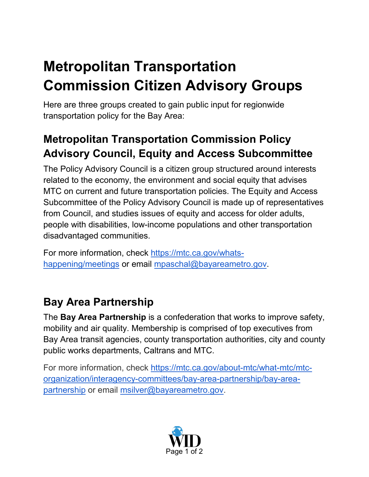## **Metropolitan Transportation Commission Citizen Advisory Groups**

Here are three groups created to gain public input for regionwide transportation policy for the Bay Area:

## **Metropolitan Transportation Commission Policy Advisory Council, Equity and Access Subcommittee**

The Policy Advisory Council is a citizen group structured around interests related to the economy, the environment and social equity that advises MTC on current and future transportation policies. The Equity and Access Subcommittee of the Policy Advisory Council is made up of representatives from Council, and studies issues of equity and access for older adults, people with disabilities, low-income populations and other transportation disadvantaged communities.

For more information, check [https://mtc.ca.gov/whats](https://mtc.ca.gov/whats-happening/meetings)[happening/meetings](https://mtc.ca.gov/whats-happening/meetings) or email [mpaschal@bayareametro.gov.](mailto:mpaschal@bayareametro.gov)

## **Bay Area Partnership**

The **Bay Area Partnership** is a confederation that works to improve safety, mobility and air quality. Membership is comprised of top executives from Bay Area transit agencies, county transportation authorities, city and county public works departments, Caltrans and MTC.

For more information, check [https://mtc.ca.gov/about-mtc/what-mtc/mtc](https://mtc.ca.gov/about-mtc/what-mtc/mtc-organization/interagency-committees/bay-area-partnership/bay-area-partnership)[organization/interagency-committees/bay-area-partnership/bay-area](https://mtc.ca.gov/about-mtc/what-mtc/mtc-organization/interagency-committees/bay-area-partnership/bay-area-partnership)[partnership](https://mtc.ca.gov/about-mtc/what-mtc/mtc-organization/interagency-committees/bay-area-partnership/bay-area-partnership) or email [msilver@bayareametro.gov.](mailto:msilver@bayareametro.gov)